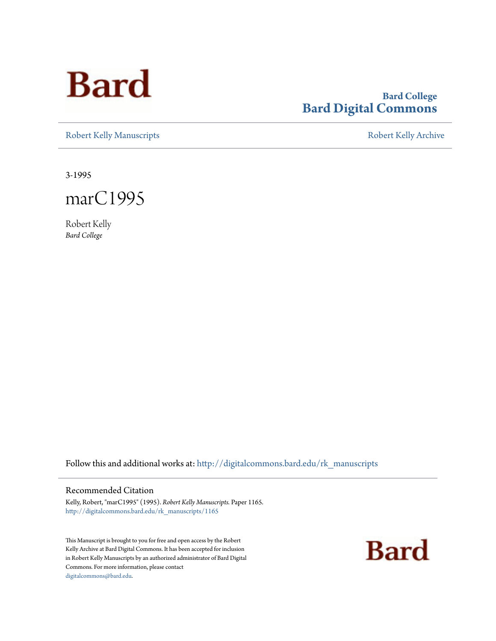

# **Bard College [Bard Digital Commons](http://digitalcommons.bard.edu?utm_source=digitalcommons.bard.edu%2Frk_manuscripts%2F1165&utm_medium=PDF&utm_campaign=PDFCoverPages)**

[Robert Kelly Manuscripts](http://digitalcommons.bard.edu/rk_manuscripts?utm_source=digitalcommons.bard.edu%2Frk_manuscripts%2F1165&utm_medium=PDF&utm_campaign=PDFCoverPages) **[Robert Kelly Archive](http://digitalcommons.bard.edu/robertkelly?utm_source=digitalcommons.bard.edu%2Frk_manuscripts%2F1165&utm_medium=PDF&utm_campaign=PDFCoverPages)** 

3-1995



Robert Kelly *Bard College*

Follow this and additional works at: [http://digitalcommons.bard.edu/rk\\_manuscripts](http://digitalcommons.bard.edu/rk_manuscripts?utm_source=digitalcommons.bard.edu%2Frk_manuscripts%2F1165&utm_medium=PDF&utm_campaign=PDFCoverPages)

#### Recommended Citation

Kelly, Robert, "marC1995" (1995). *Robert Kelly Manuscripts.* Paper 1165. [http://digitalcommons.bard.edu/rk\\_manuscripts/1165](http://digitalcommons.bard.edu/rk_manuscripts/1165?utm_source=digitalcommons.bard.edu%2Frk_manuscripts%2F1165&utm_medium=PDF&utm_campaign=PDFCoverPages)

This Manuscript is brought to you for free and open access by the Robert Kelly Archive at Bard Digital Commons. It has been accepted for inclusion in Robert Kelly Manuscripts by an authorized administrator of Bard Digital Commons. For more information, please contact [digitalcommons@bard.edu](mailto:digitalcommons@bard.edu).

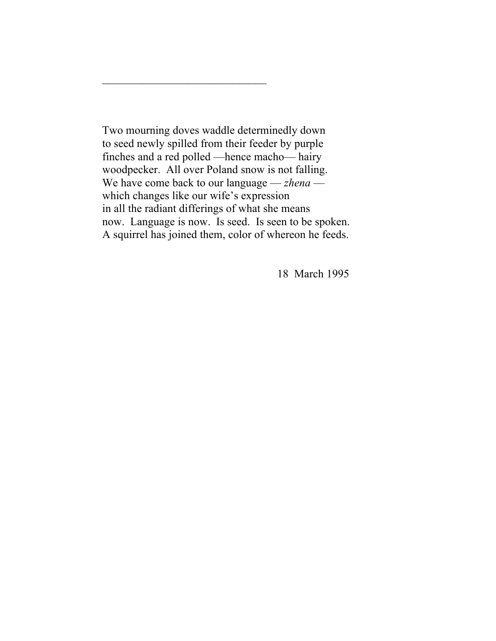Two mourning doves waddle determinedly down to seed newly spilled from their feeder by purple finches and a red polled —hence macho— hairy woodpecker. All over Poland snow is not falling. We have come back to our language — *zhena* which changes like our wife's expression in all the radiant differings of what she means now. Language is now. Is seed. Is seen to be spoken. A squirrel has joined them, color of whereon he feeds.

 $\overline{\phantom{a}}$  , where  $\overline{\phantom{a}}$  , where  $\overline{\phantom{a}}$  ,  $\overline{\phantom{a}}$  ,  $\overline{\phantom{a}}$  ,  $\overline{\phantom{a}}$  ,  $\overline{\phantom{a}}$  ,  $\overline{\phantom{a}}$  ,  $\overline{\phantom{a}}$  ,  $\overline{\phantom{a}}$  ,  $\overline{\phantom{a}}$  ,  $\overline{\phantom{a}}$  ,  $\overline{\phantom{a}}$  ,  $\overline{\phantom{a}}$  ,  $\overline{\phantom{a}}$  ,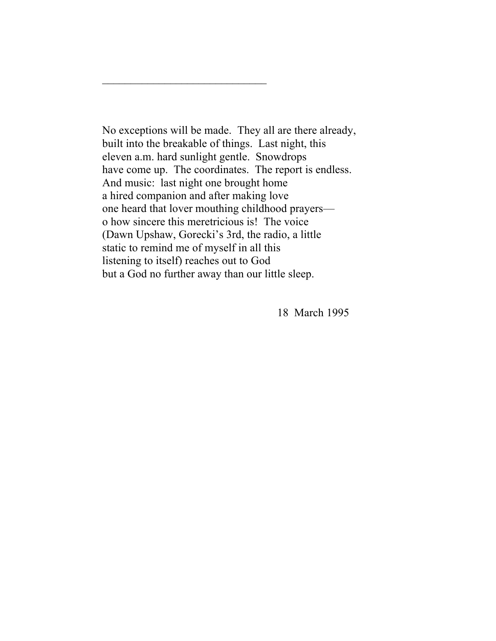No exceptions will be made. They all are there already, built into the breakable of things. Last night, this eleven a.m. hard sunlight gentle. Snowdrops have come up. The coordinates. The report is endless. And music: last night one brought home a hired companion and after making love one heard that lover mouthing childhood prayers o how sincere this meretricious is! The voice (Dawn Upshaw, Gorecki's 3rd, the radio, a little static to remind me of myself in all this listening to itself) reaches out to God but a God no further away than our little sleep.

 $\overline{\phantom{a}}$  , where  $\overline{\phantom{a}}$  , where  $\overline{\phantom{a}}$  ,  $\overline{\phantom{a}}$  ,  $\overline{\phantom{a}}$  ,  $\overline{\phantom{a}}$  ,  $\overline{\phantom{a}}$  ,  $\overline{\phantom{a}}$  ,  $\overline{\phantom{a}}$  ,  $\overline{\phantom{a}}$  ,  $\overline{\phantom{a}}$  ,  $\overline{\phantom{a}}$  ,  $\overline{\phantom{a}}$  ,  $\overline{\phantom{a}}$  ,  $\overline{\phantom{a}}$  ,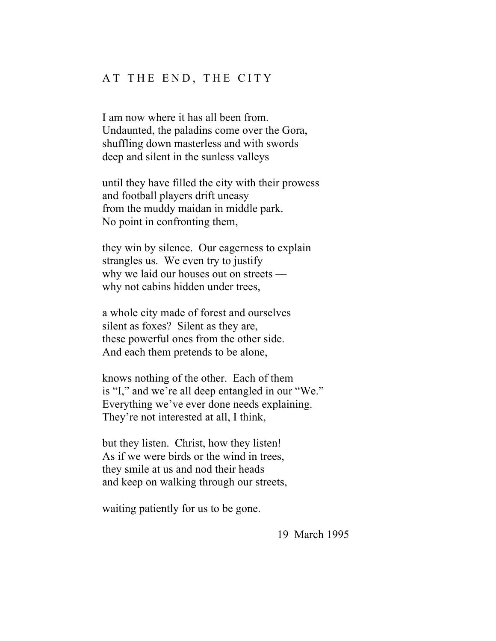### AT THE END, THE CITY

I am now where it has all been from. Undaunted, the paladins come over the Gora, shuffling down masterless and with swords deep and silent in the sunless valleys

until they have filled the city with their prowess and football players drift uneasy from the muddy maidan in middle park. No point in confronting them,

they win by silence. Our eagerness to explain strangles us. We even try to justify why we laid our houses out on streets why not cabins hidden under trees,

a whole city made of forest and ourselves silent as foxes? Silent as they are, these powerful ones from the other side. And each them pretends to be alone,

knows nothing of the other. Each of them is "I," and we're all deep entangled in our "We." Everything we've ever done needs explaining. They're not interested at all, I think,

but they listen. Christ, how they listen! As if we were birds or the wind in trees, they smile at us and nod their heads and keep on walking through our streets,

waiting patiently for us to be gone.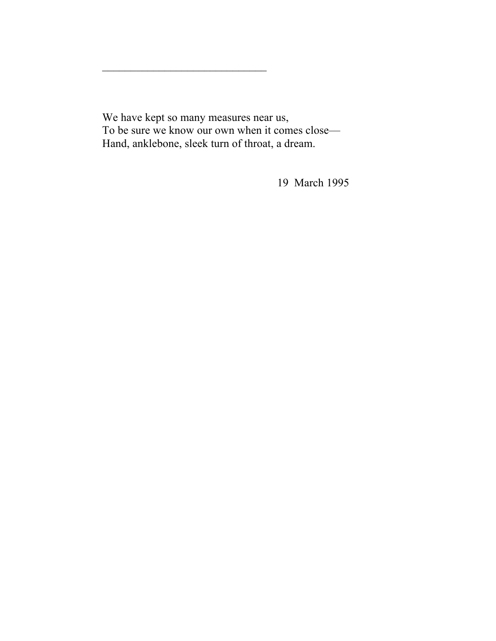We have kept so many measures near us, To be sure we know our own when it comes close— Hand, anklebone, sleek turn of throat, a dream.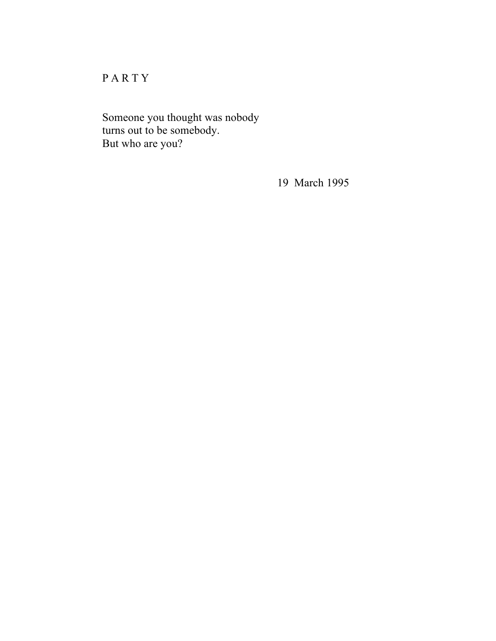# PARTY

Someone you thought was nobody turns out to be somebody. But who are you?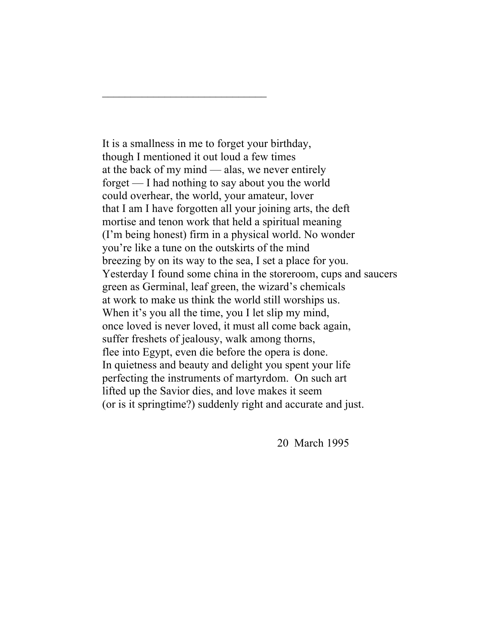It is a smallness in me to forget your birthday, though I mentioned it out loud a few times at the back of my mind — alas, we never entirely forget — I had nothing to say about you the world could overhear, the world, your amateur, lover that I am I have forgotten all your joining arts, the deft mortise and tenon work that held a spiritual meaning (I'm being honest) firm in a physical world. No wonder you're like a tune on the outskirts of the mind breezing by on its way to the sea, I set a place for you. Yesterday I found some china in the storeroom, cups and saucers green as Germinal, leaf green, the wizard's chemicals at work to make us think the world still worships us. When it's you all the time, you I let slip my mind, once loved is never loved, it must all come back again, suffer freshets of jealousy, walk among thorns, flee into Egypt, even die before the opera is done. In quietness and beauty and delight you spent your life perfecting the instruments of martyrdom. On such art lifted up the Savior dies, and love makes it seem (or is it springtime?) suddenly right and accurate and just.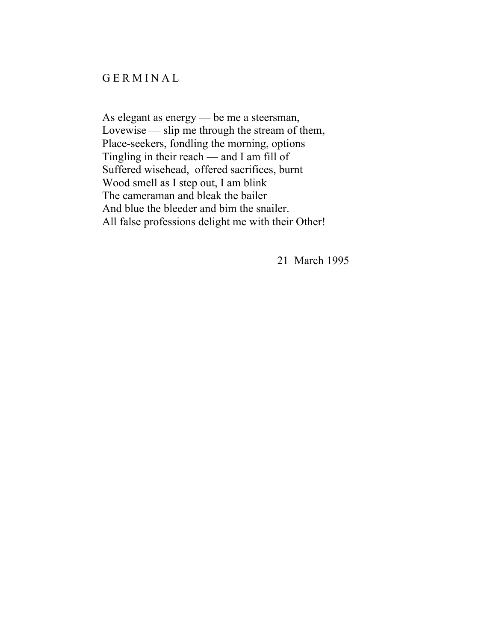# GERMINAL

As elegant as energy — be me a steersman, Lovewise — slip me through the stream of them, Place-seekers, fondling the morning, options Tingling in their reach — and I am fill of Suffered wisehead, offered sacrifices, burnt Wood smell as I step out, I am blink The cameraman and bleak the bailer And blue the bleeder and bim the snailer. All false professions delight me with their Other!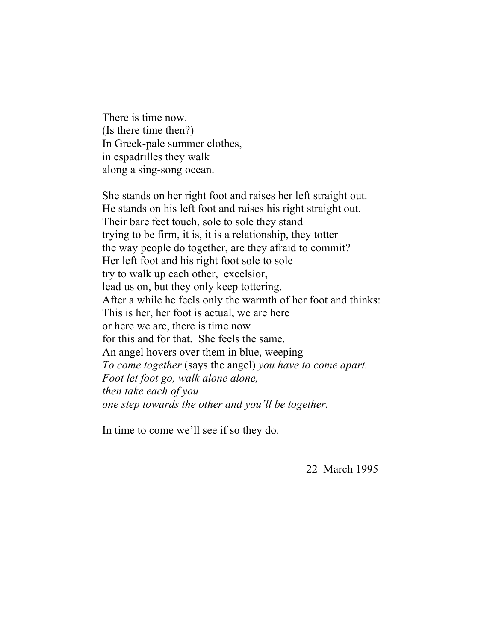There is time now. (Is there time then?) In Greek-pale summer clothes, in espadrilles they walk along a sing-song ocean.

She stands on her right foot and raises her left straight out. He stands on his left foot and raises his right straight out. Their bare feet touch, sole to sole they stand trying to be firm, it is, it is a relationship, they totter the way people do together, are they afraid to commit? Her left foot and his right foot sole to sole try to walk up each other, excelsior, lead us on, but they only keep tottering. After a while he feels only the warmth of her foot and thinks: This is her, her foot is actual, we are here or here we are, there is time now for this and for that. She feels the same. An angel hovers over them in blue, weeping— *To come together* (says the angel) *you have to come apart. Foot let foot go, walk alone alone, then take each of you one step towards the other and you'll be together.*

In time to come we'll see if so they do.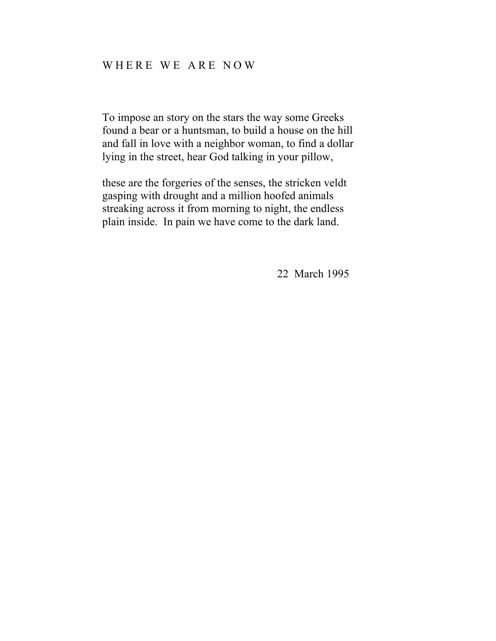# WHERE WE ARE NOW

To impose an story on the stars the way some Greeks found a bear or a huntsman, to build a house on the hill and fall in love with a neighbor woman, to find a dollar lying in the street, hear God talking in your pillow,

these are the forgeries of the senses, the stricken veldt gasping with drought and a million hoofed animals streaking across it from morning to night, the endless plain inside. In pain we have come to the dark land.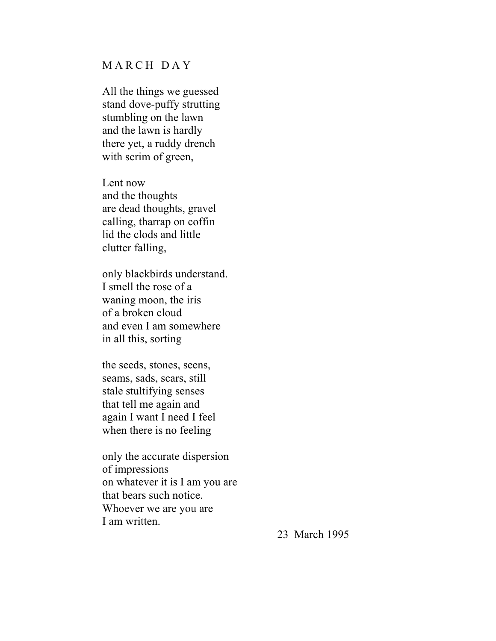## MARCH DAY

All the things we guessed stand dove-puffy strutting stumbling on the lawn and the lawn is hardly there yet, a ruddy drench with scrim of green,

Lent now and the thoughts are dead thoughts, gravel calling, tharrap on coffin lid the clods and little clutter falling,

only blackbirds understand. I smell the rose of a waning moon, the iris of a broken cloud and even I am somewhere in all this, sorting

the seeds, stones, seens, seams, sads, scars, still stale stultifying senses that tell me again and again I want I need I feel when there is no feeling

only the accurate dispersion of impressions on whatever it is I am you are that bears such notice. Whoever we are you are I am written.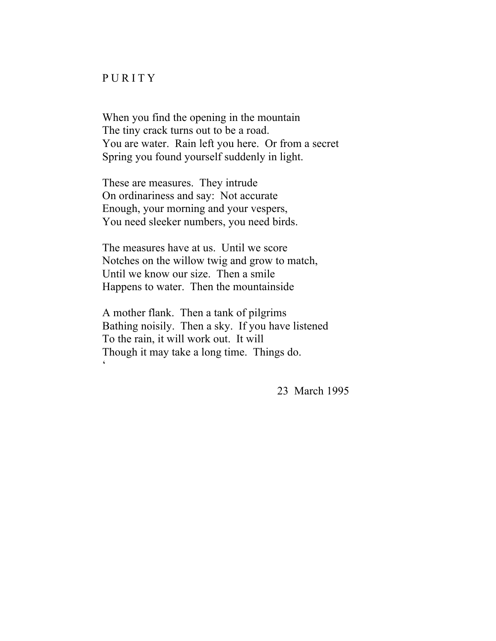#### PURITY

When you find the opening in the mountain The tiny crack turns out to be a road. You are water. Rain left you here. Or from a secret Spring you found yourself suddenly in light.

These are measures. They intrude On ordinariness and say: Not accurate Enough, your morning and your vespers, You need sleeker numbers, you need birds.

The measures have at us. Until we score Notches on the willow twig and grow to match, Until we know our size. Then a smile Happens to water. Then the mountainside

A mother flank. Then a tank of pilgrims Bathing noisily. Then a sky. If you have listened To the rain, it will work out. It will Though it may take a long time. Things do.  $\zeta$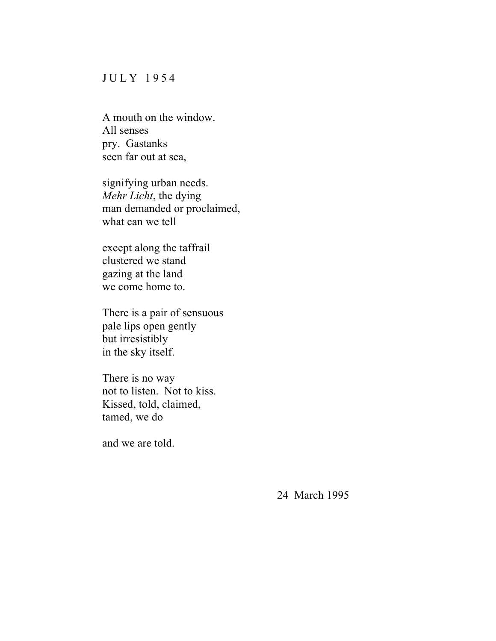### JULY 1954

A mouth on the window. All senses pry. Gastanks seen far out at sea,

signifying urban needs. *Mehr Licht*, the dying man demanded or proclaimed, what can we tell

except along the taffrail clustered we stand gazing at the land we come home to.

There is a pair of sensuous pale lips open gently but irresistibly in the sky itself.

There is no way not to listen. Not to kiss. Kissed, told, claimed, tamed, we do

and we are told.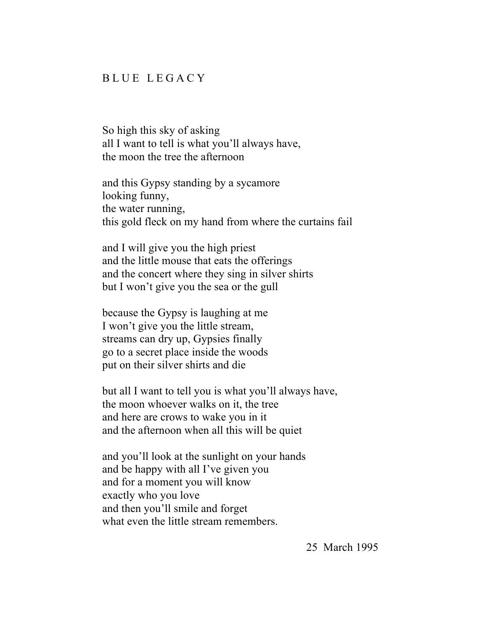### BLUE LEGACY

So high this sky of asking all I want to tell is what you'll always have, the moon the tree the afternoon

and this Gypsy standing by a sycamore looking funny, the water running, this gold fleck on my hand from where the curtains fail

and I will give you the high priest and the little mouse that eats the offerings and the concert where they sing in silver shirts but I won't give you the sea or the gull

because the Gypsy is laughing at me I won't give you the little stream, streams can dry up, Gypsies finally go to a secret place inside the woods put on their silver shirts and die

but all I want to tell you is what you'll always have, the moon whoever walks on it, the tree and here are crows to wake you in it and the afternoon when all this will be quiet

and you'll look at the sunlight on your hands and be happy with all I've given you and for a moment you will know exactly who you love and then you'll smile and forget what even the little stream remembers.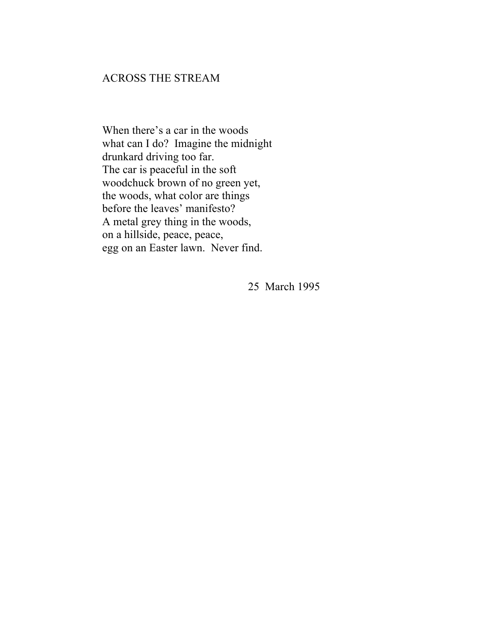# ACROSS THE STREAM

When there's a car in the woods what can I do? Imagine the midnight drunkard driving too far. The car is peaceful in the soft woodchuck brown of no green yet, the woods, what color are things before the leaves' manifesto? A metal grey thing in the woods, on a hillside, peace, peace, egg on an Easter lawn. Never find.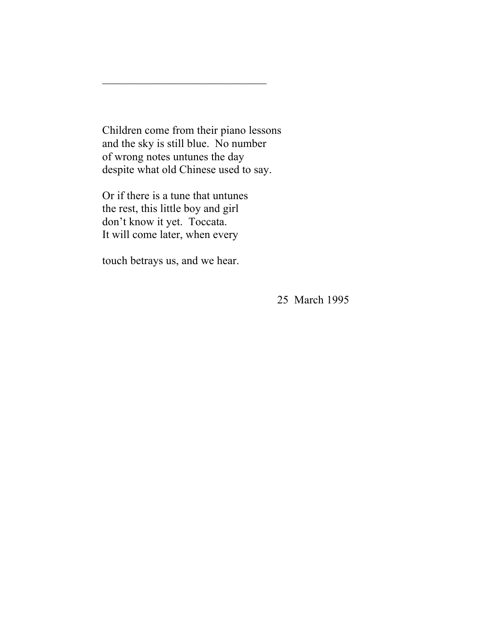Children come from their piano lessons and the sky is still blue. No number of wrong notes untunes the day despite what old Chinese used to say.

 $\overline{\phantom{a}}$  , where  $\overline{\phantom{a}}$  , where  $\overline{\phantom{a}}$  ,  $\overline{\phantom{a}}$  ,  $\overline{\phantom{a}}$  ,  $\overline{\phantom{a}}$  ,  $\overline{\phantom{a}}$  ,  $\overline{\phantom{a}}$  ,  $\overline{\phantom{a}}$  ,  $\overline{\phantom{a}}$  ,  $\overline{\phantom{a}}$  ,  $\overline{\phantom{a}}$  ,  $\overline{\phantom{a}}$  ,  $\overline{\phantom{a}}$  ,  $\overline{\phantom{a}}$  ,

Or if there is a tune that untunes the rest, this little boy and girl don't know it yet. Toccata. It will come later, when every

touch betrays us, and we hear.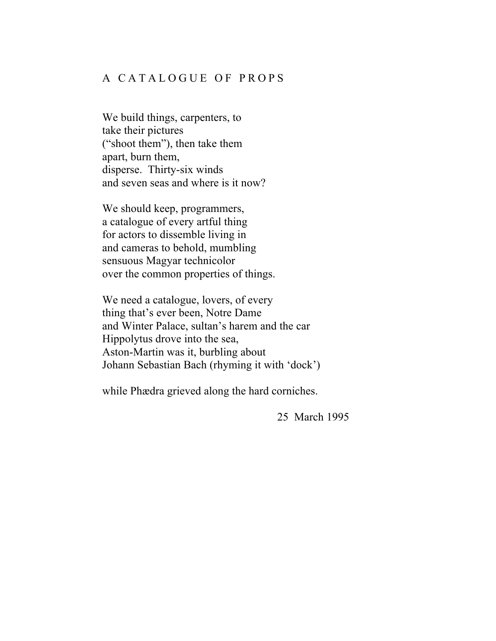# A CATALOGUE OF PROPS

We build things, carpenters, to take their pictures ("shoot them"), then take them apart, burn them, disperse. Thirty-six winds and seven seas and where is it now?

We should keep, programmers, a catalogue of every artful thing for actors to dissemble living in and cameras to behold, mumbling sensuous Magyar technicolor over the common properties of things.

We need a catalogue, lovers, of every thing that's ever been, Notre Dame and Winter Palace, sultan's harem and the car Hippolytus drove into the sea, Aston-Martin was it, burbling about Johann Sebastian Bach (rhyming it with 'dock')

while Phædra grieved along the hard corniches.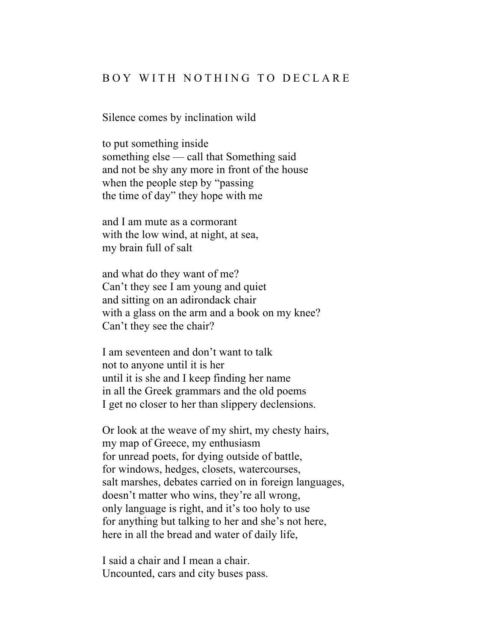### BOY WITH NOTHING TO DECLARE

Silence comes by inclination wild

to put something inside something else — call that Something said and not be shy any more in front of the house when the people step by "passing the time of day" they hope with me

and I am mute as a cormorant with the low wind, at night, at sea, my brain full of salt

and what do they want of me? Can't they see I am young and quiet and sitting on an adirondack chair with a glass on the arm and a book on my knee? Can't they see the chair?

I am seventeen and don't want to talk not to anyone until it is her until it is she and I keep finding her name in all the Greek grammars and the old poems I get no closer to her than slippery declensions.

Or look at the weave of my shirt, my chesty hairs, my map of Greece, my enthusiasm for unread poets, for dying outside of battle, for windows, hedges, closets, watercourses, salt marshes, debates carried on in foreign languages, doesn't matter who wins, they're all wrong, only language is right, and it's too holy to use for anything but talking to her and she's not here, here in all the bread and water of daily life,

I said a chair and I mean a chair. Uncounted, cars and city buses pass.